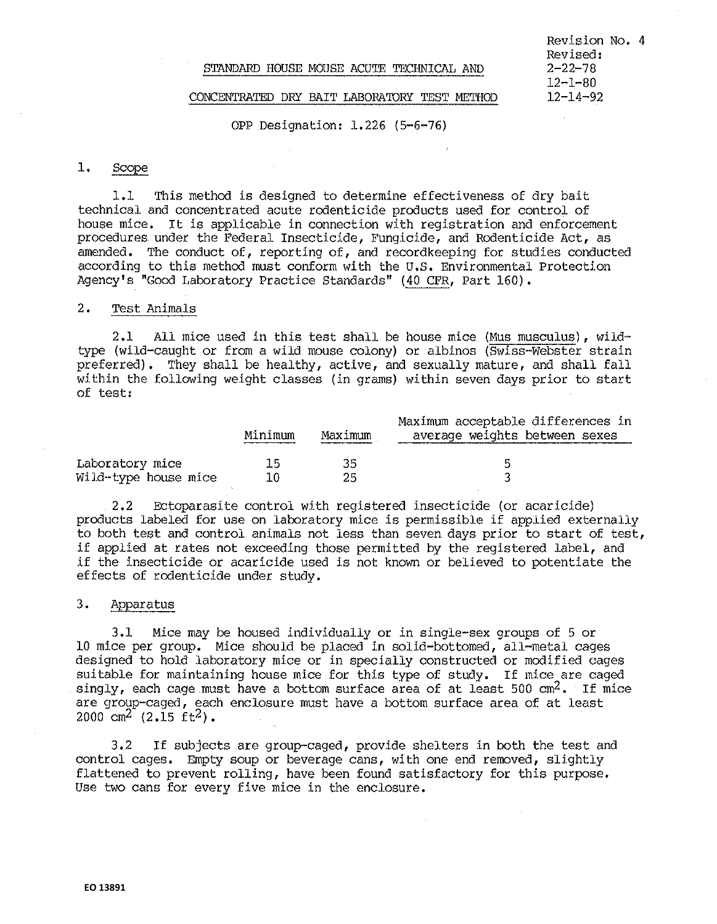### STANDARD HOUSE MOUSE ACUTE TECHNICAL AND

Revision No. 4 Revised:  $2 - 22 - 78$ 12-1-80 12-14-92

### CONCENTRATED DRY BAIT LABORATORY TEST METHOD

OPP Designation: 1.226 (5-6-76)

## 1. Scope

J..l This method is designed to determine effectiveness of dry bait technical and concentrated acute rodenticide products used for control of house mice. It is applicable in connection with registration and enforcement procedures under the Federal Insecticide, Fungicide, and Rodenticide Act, as amended, The conduct of, reporting of, and recordkeeping for studies conducted according to this method must conform with the U.S. Environmental Protection Agency's "Good Laboratory Practice Standards" (40 CFR, Part 160).

### 2. Test Animals

2.1 All mice used in this test shall be house mice (Mus musculus), wildtype (wild-caught or from a wild mouse colony) or albinos (Swiss-Webster strain preferred). They shall be healthy, active, and sexually mature, and shall fall within the following weight classes (in grams) within seven days prior to start of test:

|                      |         |         | Maximum acceptable differences in |
|----------------------|---------|---------|-----------------------------------|
|                      | Minimum | Maximum | average weights between sexes     |
|                      |         |         |                                   |
| Laboratory mice      | 下气      | マち      | 片                                 |
| Wild-type house mice | 10      | つら      |                                   |

2.2 Ectoparasite control with registered insecticide (or acaricide) products labeled for use on laboratory mice is permissible if applied externally to both test and control animals not less than seven days prior to start of test, if applied at rates not exceeding those permitted by the registered label, and if the insecticide or acaricide used is not known or believed to potentiate the effects of rodenticide under study.

## 3. Apparatus

3.1 Mice may be housed individually or in single-sex groups of 5 or 10 mice per group. Mice should be placed in solid-bottomed, all-metal cages designed to hold laboratory mice or in specially constructed or modified cages suitable for maintaining house mice for this type of study. If mice are caged singly, each cage must have a bottom surface area of at least 500 cm<sup>2</sup>. If mice are group-caged, each enclosure must have a bottom surface area of at least  $2000 \text{ cm}^2$   $(2.15 \text{ ft}^2)$ .

3.2 If subjects are group-caged, provide shelters in both the test and control cages, Empty soup or beverage cans, with one end removed, slightly flattened to prevent rolling, have been found satisfactory for this purpose. Use two cans for every five mice in the enclosure.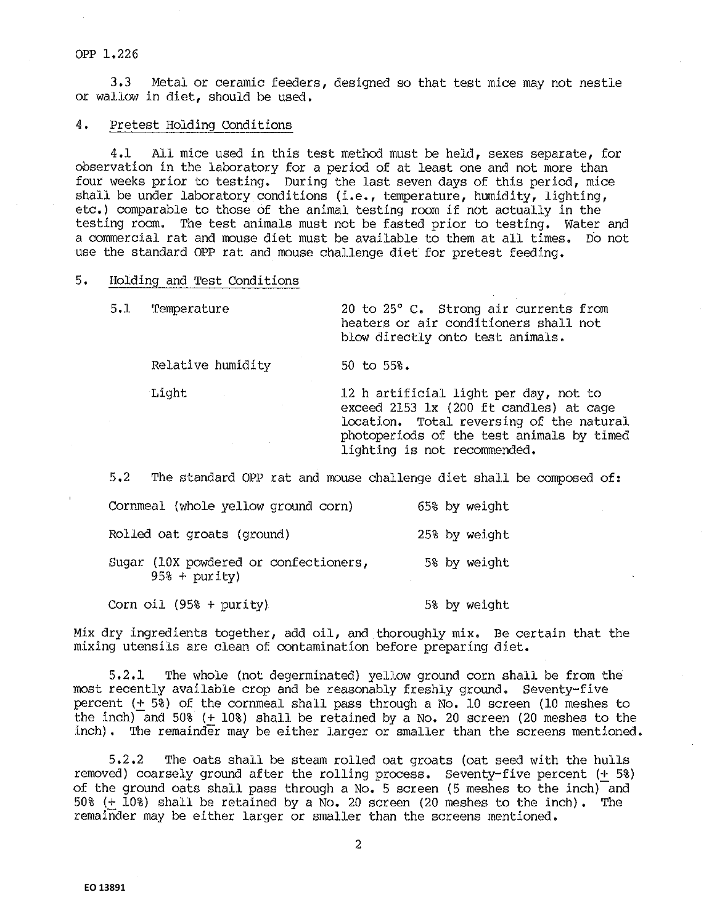3,3 Metal or ceramic feeders, designed so that test mice may not nestle or wallow in diet, should be used.

### 4. Pretest Holding Conditions

4,1 All mice used in this test method must be held, sexes separate, for observation in the laboratory for a period of at least one and not more than four weeks prior to testing. During the last seven days of this period, mice shall be under laboratory conditions (i.e., temperature, humidity, lighting, etc,) comparable to those of the animal testing room if not actually in the testing room. The test animals must not be fasted prior to testing, Water and a commercial rat and mouse diet must be available to them at all times. Do not use the standard OPP rat and mouse challenge diet for pretest feeding,

#### 5. Holding and Test Conditions

5.1 Temperature 20 to 25° c. Strong air currents from heaters or air conditioners shall not blow directly onto test animals.

Relative humidity 50 to 55%.

Light 12 h artificial light per day, not to exceed 2153 lx (200 ft candles) at cage location. Total reversing of the natural photoperiods of the test animals by timed lighting is not recommended,

5,2 The standard OPP rat and mouse challenge diet shall be composed of:

| Cornmeal (whole yellow ground corn)                     | 65% by weight |
|---------------------------------------------------------|---------------|
| Rolled oat groats (ground)                              | 25% by weight |
| Sugar (10X powdered or confectioners,<br>$95% + purity$ | 5% by weight  |

 $Corn$  oil (95% + purity)  $5\$  by weight

Mix dry ingredients together, add oil, and thoroughly mix. Be certain that the mixing utensils are clean of contamination before preparing diet.

5,2,1 The whole (not degerminated) yellow ground corn shall be from the most recently available crop and be reasonably freshly ground, Seventy-five percent (+ 5%) of the cornmeal shall pass through a No, 10 screen (10 meshes to the inch) and 50% (+ 10%) shall be retained by a No. 20 screen (20 meshes to the inch). The remainder may be either larger or smaller than the screens mentioned.

5.2,2 The oats shall be steam rolled oat groats (oat seed with the hulls removed) coarsely ground after the rolling process. Seventy-five percent (+ 5%) of the ground oats shall pass through a No. 5 screen (5 meshes to the inch) and 50% (+ 10%) shall be retained by a No, 20 screen (20 meshes to the inch). The remainder may be either larger or smaller than the screens mentioned.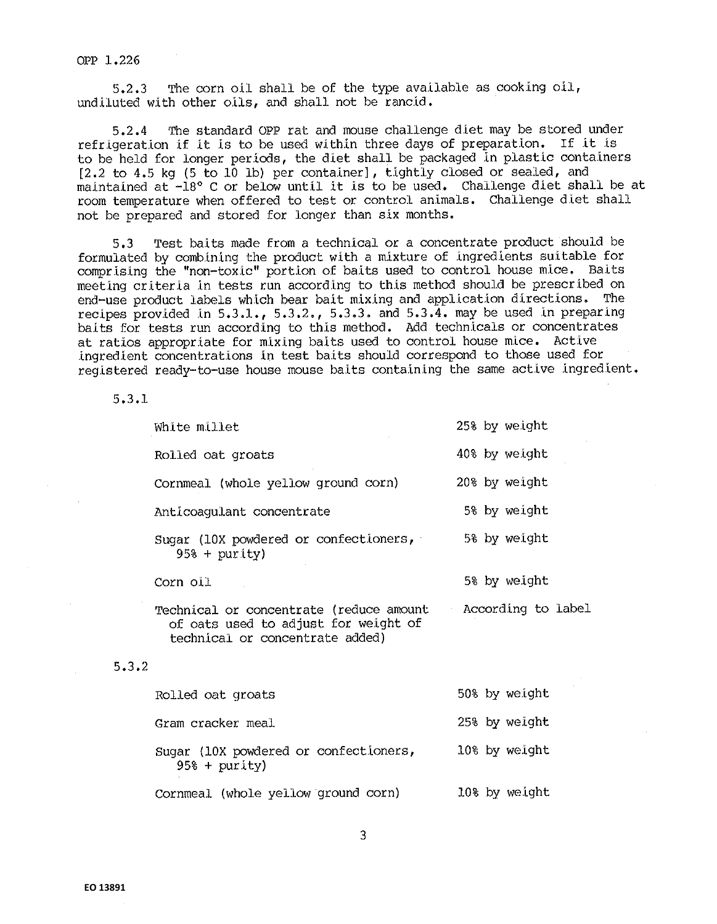5.2.3 The corn oil shall be of the type available as cooking oil, undiluted with other oils, and shall not be rancid.

5.2.4 The standard OPP rat and mouse challenge diet may be stored under refrigeration if it is to be used within three days of preparation. If it is to be held for longer periods, the diet shall be packaged in plastic containers  $[2.2$  to  $4.5$  kg  $(5$  to  $10$  lb) per container], tightly closed or sealed, and maintained at -18° C or below until it is to be used. Challenge diet shall be at room temperature when offered to test or control animals, Challenge diet shall not be prepared and stored for longer than six months.

5,3 Test baits made from a techniccll or a concentrate product should be formulated by combining the product with a mixture of ingredients suitable for comprising the "non-toxic" portion of baits used to control house mice. Baits meeting criteria in tests run according to this method should be prescribed on end-use product labels which bear bait mixing and application directions. The recipes provided in  $5.3.1.$ ,  $5.3.2.$ ,  $5.3.3.$  and  $5.3.4.$  may be used in preparing baits for tests run according to this method. Add technicals or concentrates at ratios appropriate for mixing baits used to control house mice. Active .ingredient concentrations In test baits should correspond to those used for registered ready-to-use house mouse baits containing the same active ingredient.

5.3.1

| White millet                                                                                                       | 25% by weight      |
|--------------------------------------------------------------------------------------------------------------------|--------------------|
| Rolled oat groats                                                                                                  | 40% by weight      |
| Cornmeal (whole yellow ground corn)                                                                                | 20% by weight      |
| Anticoaqulant concentrate                                                                                          | 5% by weight       |
| Sugar (10X powdered or confectioners,<br>$95% + purity)$                                                           | 5% by weight       |
| Corn oil                                                                                                           | 5% by weight       |
| Technical or concentrate (reduce amount<br>of oats used to adjust for weight of<br>technical or concentrate added) | According to label |

# 5.3.2

| Rolled oat groats                                        | 50% by weight |
|----------------------------------------------------------|---------------|
| Gram cracker meal                                        | 25% by weight |
| Sugar (10X powdered or confectioners,<br>$95% + purity)$ | 10% by weight |
| Cornmeal (whole yellow ground corn)                      | 10% by weight |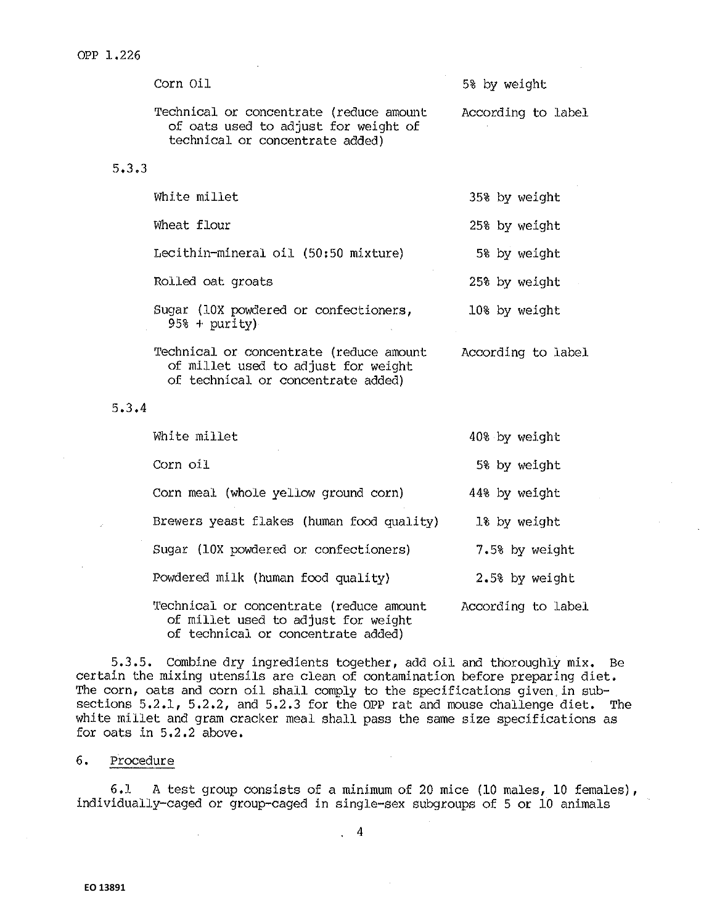|       | Corn Oil                                                                                                             | 5% by weight       |
|-------|----------------------------------------------------------------------------------------------------------------------|--------------------|
|       | Technical or concentrate (reduce amount<br>of oats used to adjust for weight of<br>technical or concentrate added)   | According to label |
| 5.3.3 |                                                                                                                      |                    |
|       | White millet                                                                                                         | 35% by weight      |
|       | Wheat flour                                                                                                          | 25% by weight      |
|       | Lecithin-mineral oil (50:50 mixture)                                                                                 | 5% by weight       |
|       | Rolled oat groats                                                                                                    | 25% by weight      |
|       | Sugar (10X powdered or confectioners,<br>$95\% + purity$                                                             | 10% by weight      |
|       | Technical or concentrate (reduce amount<br>of millet used to adjust for weight<br>of technical or concentrate added) | According to label |
| 5.3.4 |                                                                                                                      |                    |
|       | White millet                                                                                                         | 40% by weight      |
|       | Corn oil                                                                                                             | 5% by weight       |
|       | Corn meal (whole yellow ground corn)                                                                                 | 44% by weight      |
|       | Brewers yeast flakes (human food quality)                                                                            | 1% by weight       |
|       | Sugar (10X powdered or confectioners)                                                                                | 7.5% by weight     |
|       | Powdered milk (human food quality)                                                                                   | 2.5% by weight     |
|       | Technical or concentrate (reduce amount<br>of millet used to adjust for weight                                       | According to label |

of technical or concentrate added)

5,3 .5. Combine dry ingredients together, add oil and thoroughly mix. Be certain the mixing utensils are clean of contamination before preparing diet. The corn, oats and corn oil shall comply to the specifications given,in subsections 5.2.1, 5.2.2, and 5.2.3 for the OPP rat and mouse challenge diet. The white millet and gram cracker meal shall pass the same size specifications as for oats in 5,2.2 above.

## 6. Procedure

6.1 A test group consists of a minimum of 20 mice (10 males, 10 females), individually-caged or group-caged in single-sex subgroups of 5 or 10 animals

. 4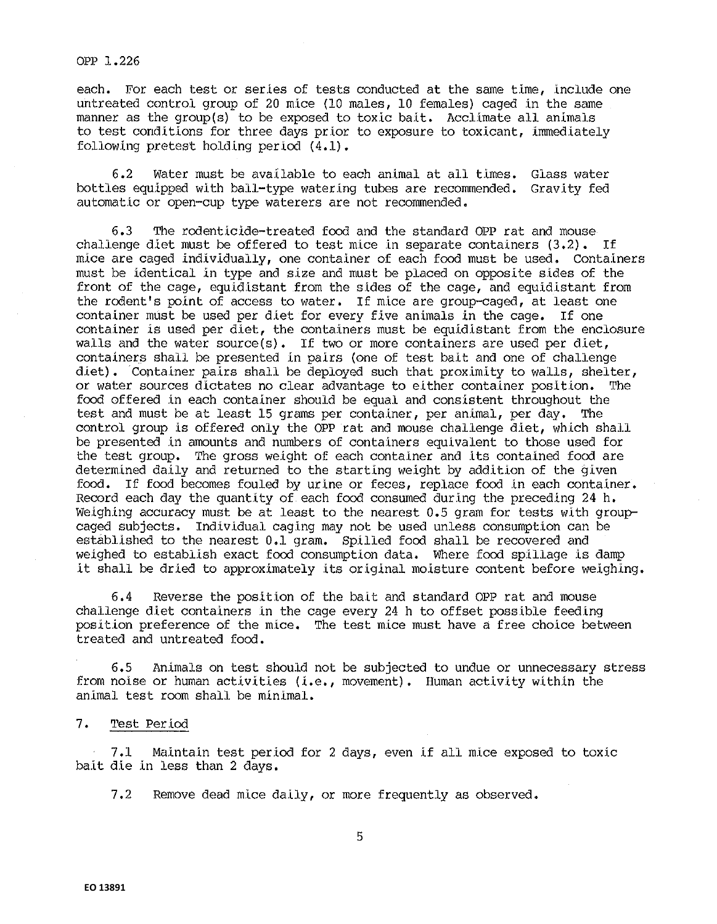each. For each test or series of tests conducted at the same time, include one untreated control group of 20 mice (10 males, 10 females) caged in the same manner as the group(s) to be exposed to toxic bait. Acclimate all animals to test conditions for three days prior to exposure to toxicant, immediately following pretest holding period (4.1).

6 .2 Water must be available to each animal at all times. Glass water bottles equipped with ball-type watering tubes are recommended. Gravity fed automatic or open-cup type waterers are not recommended.

6.3 The rodenticide-treated food and the standard OPP rat and mouse challenge diet must be offered to test mice in separate containers  $(3.2)$ . If mice are caged individually, one container of each food must be used. Containers must be identical in type and size and must be placed on opposite sides of the front of the cage, equidistant from the sides of the cage, and equidistant from the rodent's point of access to water. If mice are group-caged, at least one container must be used per diet for every five animals in the cage. If one container is used per diet, the containers must be equidistant from the enclosure walls and the water source(s). If two or more containers are used per diet, containers shall be presented in pairs (one of test bait and one of challenge diet). Container pairs shall be deployed such that proximity to walls, shelter, or water sources dictates no clear advantage to either container position. The food offered in each container should be equal and consistent throughout the test and must be at least 15 grams per container, per animal, per day. The control group is offered only the OPP rat and mouse challenge diet, which shall be presented in amounts and numbers of containers equivalent to those used for the test group. The gross weight of each container and its contained food are determined daily and returned to the starting weight by addition of the given food. If food becomes fouled by urine or feces, replace food in each container. Record each day the quantity of each food consumed during the preceding 24 h. Weighing accuracy must be at least to the nearest 0.5 gram for tests with groupcaged subjects. Individual caging may not be used unless consumption can be established to the nearest 0.1 gram. Spilled food shall be recovered and weighed to establish exact food consumption data. Where food spillage is damp it shall be dried to approximately its original moisture content before weighing.

6, 4 Reverse the posit.ion of the ba.lt and standard OPP rat and mouse challenge diet containers in the cage every 24 h to offset possible feeding posit.ion preference of the mice. The test mice must have a free choice between treated and untreated food.

6,5 Animals on test should not be subjected to undue or unnecessary stress from noise or human activities  $(i.e.,$  movement). Human activity within the animal test room shall be minimal.

7. Test Period

7.1 Maintain test period for 2 days, even if all mice exposed to toxic bait die in less than 2 days.

7.2 Remove dead mice daily, or more frequently as observed.

5